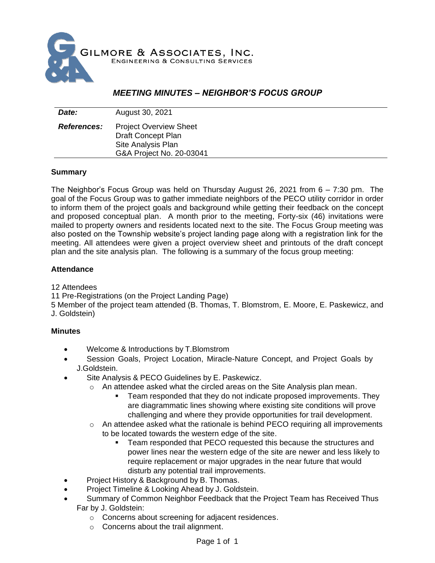

# *MEETING MINUTES – NEIGHBOR'S FOCUS GROUP*

| Date:              | August 30, 2021                                                                                              |
|--------------------|--------------------------------------------------------------------------------------------------------------|
| <b>References:</b> | <b>Project Overview Sheet</b><br><b>Draft Concept Plan</b><br>Site Analysis Plan<br>G&A Project No. 20-03041 |

### **Summary**

The Neighbor's Focus Group was held on Thursday August 26, 2021 from 6 – 7:30 pm. The goal of the Focus Group was to gather immediate neighbors of the PECO utility corridor in order to inform them of the project goals and background while getting their feedback on the concept and proposed conceptual plan. A month prior to the meeting, Forty-six (46) invitations were mailed to property owners and residents located next to the site. The Focus Group meeting was also posted on the Township website's project landing page along with a registration link for the meeting. All attendees were given a project overview sheet and printouts of the draft concept plan and the site analysis plan. The following is a summary of the focus group meeting:

### **Attendance**

12 Attendees

11 Pre-Registrations (on the Project Landing Page)

5 Member of the project team attended (B. Thomas, T. Blomstrom, E. Moore, E. Paskewicz, and J. Goldstein)

### **Minutes**

- Welcome & Introductions by T.Blomstrom
- Session Goals, Project Location, Miracle-Nature Concept, and Project Goals by J.Goldstein.
- Site Analysis & PECO Guidelines by E. Paskewicz.
	- o An attendee asked what the circled areas on the Site Analysis plan mean.
		- Team responded that they do not indicate proposed improvements. They are diagrammatic lines showing where existing site conditions will prove challenging and where they provide opportunities for trail development.
	- $\circ$  An attendee asked what the rationale is behind PECO requiring all improvements to be located towards the western edge of the site.
		- Team responded that PECO requested this because the structures and power lines near the western edge of the site are newer and less likely to require replacement or major upgrades in the near future that would disturb any potential trail improvements.
- Project History & Background by B. Thomas.
- Project Timeline & Looking Ahead by J. Goldstein.
- Summary of Common Neighbor Feedback that the Project Team has Received Thus Far by J. Goldstein:
	- o Concerns about screening for adjacent residences.
	- o Concerns about the trail alignment.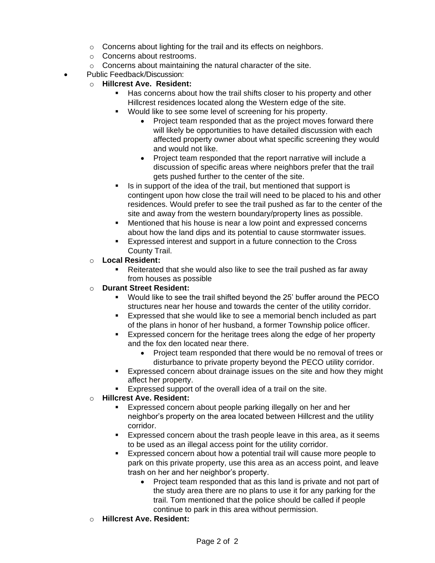- o Concerns about lighting for the trail and its effects on neighbors.
- o Concerns about restrooms.
- o Concerns about maintaining the natural character of the site.
- Public Feedback/Discussion:
	- o **Hillcrest Ave. Resident:**
		- Has concerns about how the trail shifts closer to his property and other Hillcrest residences located along the Western edge of the site.
		- Would like to see some level of screening for his property.
			- Project team responded that as the project moves forward there will likely be opportunities to have detailed discussion with each affected property owner about what specific screening they would and would not like.
			- Project team responded that the report narrative will include a discussion of specific areas where neighbors prefer that the trail gets pushed further to the center of the site.
		- Is in support of the idea of the trail, but mentioned that support is contingent upon how close the trail will need to be placed to his and other residences. Would prefer to see the trail pushed as far to the center of the site and away from the western boundary/property lines as possible.
		- Mentioned that his house is near a low point and expressed concerns about how the land dips and its potential to cause stormwater issues.
		- Expressed interest and support in a future connection to the Cross County Trail.
	- o **Local Resident:**
		- Reiterated that she would also like to see the trail pushed as far away from houses as possible

## o **Durant Street Resident:**

- Would like to see the trail shifted beyond the 25' buffer around the PECO structures near her house and towards the center of the utility corridor.
- Expressed that she would like to see a memorial bench included as part of the plans in honor of her husband, a former Township police officer.
- Expressed concern for the heritage trees along the edge of her property and the fox den located near there.
	- Project team responded that there would be no removal of trees or disturbance to private property beyond the PECO utility corridor.
- **Expressed concern about drainage issues on the site and how they might** affect her property.
- Expressed support of the overall idea of a trail on the site.

## o **Hillcrest Ave. Resident:**

- Expressed concern about people parking illegally on her and her neighbor's property on the area located between Hillcrest and the utility corridor.
- Expressed concern about the trash people leave in this area, as it seems to be used as an illegal access point for the utility corridor.
- Expressed concern about how a potential trail will cause more people to park on this private property, use this area as an access point, and leave trash on her and her neighbor's property.
	- Project team responded that as this land is private and not part of the study area there are no plans to use it for any parking for the trail. Tom mentioned that the police should be called if people continue to park in this area without permission.
- o **Hillcrest Ave. Resident:**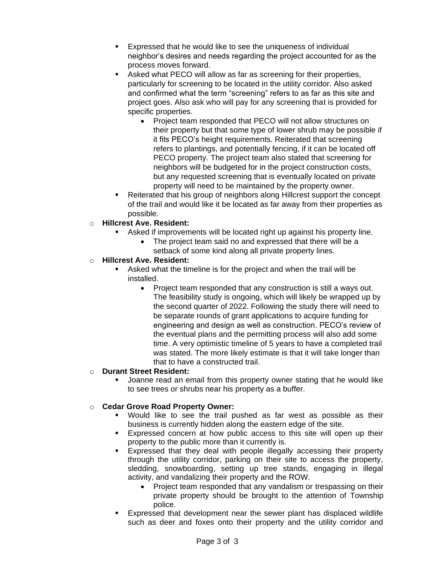- Expressed that he would like to see the uniqueness of individual neighbor's desires and needs regarding the project accounted for as the process moves forward.
- Asked what PECO will allow as far as screening for their properties, particularly for screening to be located in the utility corridor. Also asked and confirmed what the term "screening" refers to as far as this site and project goes. Also ask who will pay for any screening that is provided for specific properties.
	- Project team responded that PECO will not allow structures on their property but that some type of lower shrub may be possible if it fits PECO's height requirements. Reiterated that screening refers to plantings, and potentially fencing, if it can be located off PECO property. The project team also stated that screening for neighbors will be budgeted for in the project construction costs, but any requested screening that is eventually located on private property will need to be maintained by the property owner.
- Reiterated that his group of neighbors along Hillcrest support the concept of the trail and would like it be located as far away from their properties as possible.
- o **Hillcrest Ave. Resident:**
	- Asked if improvements will be located right up against his property line.
		- The project team said no and expressed that there will be a setback of some kind along all private property lines.
- o **Hillcrest Ave. Resident:**
	- Asked what the timeline is for the project and when the trail will be installed.
		- Project team responded that any construction is still a ways out. The feasibility study is ongoing, which will likely be wrapped up by the second quarter of 2022. Following the study there will need to be separate rounds of grant applications to acquire funding for engineering and design as well as construction. PECO's review of the eventual plans and the permitting process will also add some time. A very optimistic timeline of 5 years to have a completed trail was stated. The more likely estimate is that it will take longer than that to have a constructed trail.

### o **Durant Street Resident:**

Joanne read an email from this property owner stating that he would like to see trees or shrubs near his property as a buffer.

## o **Cedar Grove Road Property Owner:**

- Would like to see the trail pushed as far west as possible as their business is currently hidden along the eastern edge of the site.
- Expressed concern at how public access to this site will open up their property to the public more than it currently is.
- Expressed that they deal with people illegally accessing their property through the utility corridor, parking on their site to access the property, sledding, snowboarding, setting up tree stands, engaging in illegal activity, and vandalizing their property and the ROW.
	- Project team responded that any vandalism or trespassing on their private property should be brought to the attention of Township police.
- Expressed that development near the sewer plant has displaced wildlife such as deer and foxes onto their property and the utility corridor and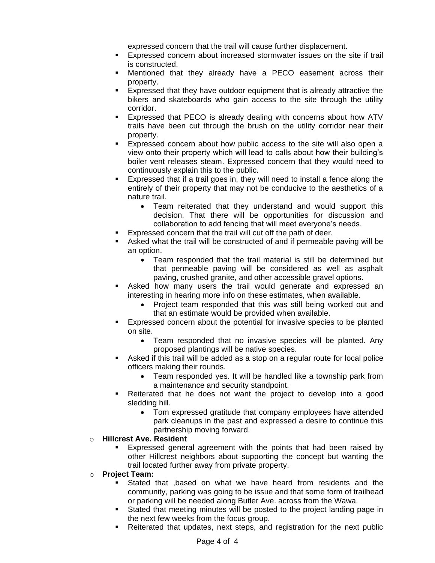expressed concern that the trail will cause further displacement.

- **Expressed concern about increased stormwater issues on the site if trail** is constructed.
- Mentioned that they already have a PECO easement across their property.
- Expressed that they have outdoor equipment that is already attractive the bikers and skateboards who gain access to the site through the utility corridor.
- Expressed that PECO is already dealing with concerns about how ATV trails have been cut through the brush on the utility corridor near their property.
- Expressed concern about how public access to the site will also open a view onto their property which will lead to calls about how their building's boiler vent releases steam. Expressed concern that they would need to continuously explain this to the public.
- Expressed that if a trail goes in, they will need to install a fence along the entirely of their property that may not be conducive to the aesthetics of a nature trail.
	- Team reiterated that they understand and would support this decision. That there will be opportunities for discussion and collaboration to add fencing that will meet everyone's needs.
- Expressed concern that the trail will cut off the path of deer.
- Asked what the trail will be constructed of and if permeable paving will be an option.
	- Team responded that the trail material is still be determined but that permeable paving will be considered as well as asphalt paving, crushed granite, and other accessible gravel options.
- Asked how many users the trail would generate and expressed an interesting in hearing more info on these estimates, when available.
	- Project team responded that this was still being worked out and that an estimate would be provided when available.
- Expressed concern about the potential for invasive species to be planted on site.
	- Team responded that no invasive species will be planted. Any proposed plantings will be native species.
- Asked if this trail will be added as a stop on a regular route for local police officers making their rounds.
	- Team responded yes. It will be handled like a township park from a maintenance and security standpoint.
- Reiterated that he does not want the project to develop into a good sledding hill.
	- Tom expressed gratitude that company employees have attended park cleanups in the past and expressed a desire to continue this partnership moving forward.
- o **Hillcrest Ave. Resident**
	- Expressed general agreement with the points that had been raised by other Hillcrest neighbors about supporting the concept but wanting the trail located further away from private property.
- o **Project Team:**
	- Stated that , based on what we have heard from residents and the community, parking was going to be issue and that some form of trailhead or parking will be needed along Butler Ave. across from the Wawa.
	- Stated that meeting minutes will be posted to the project landing page in the next few weeks from the focus group.
	- Reiterated that updates, next steps, and registration for the next public